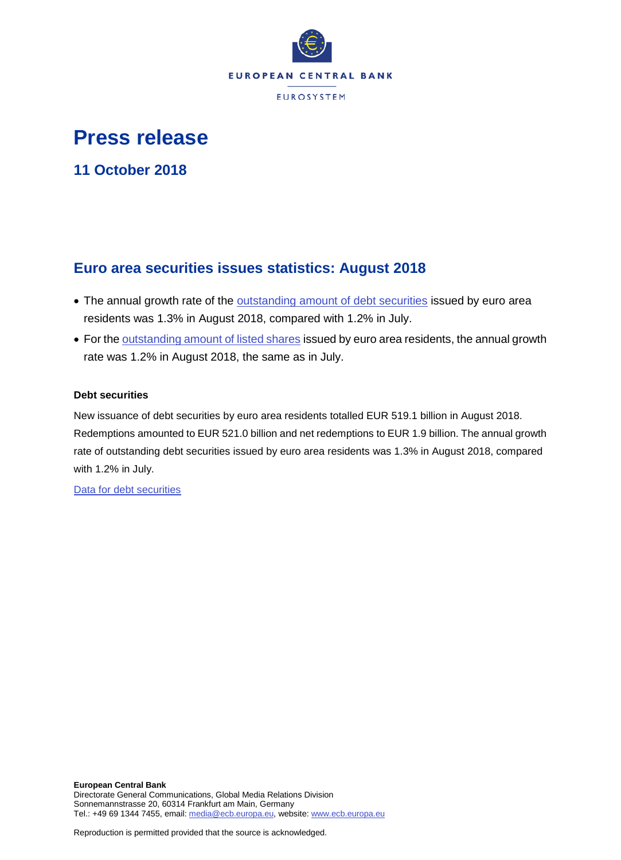

# **Press release**

**11 October 2018**

# **Euro area securities issues statistics: August 2018**

- The annual growth rate of the **outstanding amount of debt securities** issued by euro area residents was 1.3% in August 2018, compared with 1.2% in July.
- For the [outstanding amount of listed shares](http://sdw.ecb.europa.eu/quickview.do?SERIES_KEY=130.SEC.M.I8.1000.F51100.M.I.Z01.A.Z) issued by euro area residents, the annual growth rate was 1.2% in August 2018, the same as in July.

# **Debt securities**

New issuance of debt securities by euro area residents totalled EUR 519.1 billion in August 2018. Redemptions amounted to EUR 521.0 billion and net redemptions to EUR 1.9 billion. The annual growth rate of outstanding debt securities issued by euro area residents was 1.3% in August 2018, compared with 1.2% in July.

[Data for debt securities](http://sdw.ecb.europa.eu/browseSelection.do?type=series&q=SEC.M.I8.1000.F33000.N.2.Z01.E.Z%2c+SEC.M.I8.1000.F33000.N.3.Z01.E.Z%2c+SEC.M.I8.1000.F33000.N.4.Z01.E.Z%2c+SEC.M.I8.1000.F33000.N.I.Z01.A.Z&node=SEARCHRESULTS&ec=&oc=&rc=&cv=&pb=&dc=&df=)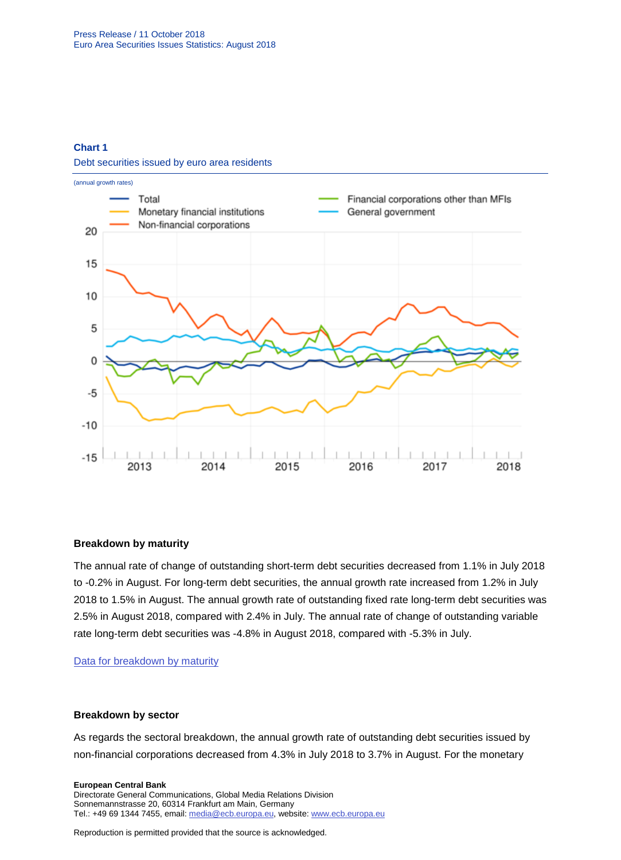# **Chart 1**

Debt securities issued by euro area residents



# **Breakdown by maturity**

The annual rate of change of outstanding short-term debt securities decreased from 1.1% in July 2018 to -0.2% in August. For long-term debt securities, the annual growth rate increased from 1.2% in July 2018 to 1.5% in August. The annual growth rate of outstanding fixed rate long-term debt securities was 2.5% in August 2018, compared with 2.4% in July. The annual rate of change of outstanding variable rate long-term debt securities was -4.8% in August 2018, compared with -5.3% in July.

# [Data for breakdown by maturity](http://sdw.ecb.europa.eu/browseSelection.do?type=series&q=SEC.M.I8.1000.F33100.N.I.Z01.A.Z%2c+SEC.M.I8.1000.F33200.N.I.Z01.A.Z%2c+SEC.M.I8.1000.F33201.N.I.Z01.A.Z%2c+SEC.M.I8.1000.F33202.N.I.Z01.A.Z&node=SEARCHRESULTS&ec=&oc=&rc=&cv=&pb=&dc=&df=)

# **Breakdown by sector**

As regards the sectoral breakdown, the annual growth rate of outstanding debt securities issued by non-financial corporations decreased from 4.3% in July 2018 to 3.7% in August. For the monetary

**European Central Bank** Directorate General Communications, Global Media Relations Division Sonnemannstrasse 20, 60314 Frankfurt am Main, Germany Tel.: +49 69 1344 7455, email[: media@ecb.europa.eu,](mailto:media@ecb.europa.eu) website[: www.ecb.europa.eu](https://darwin.escb.eu/livelink/livelink/238023865/www.ecb.europa.eu)

Reproduction is permitted provided that the source is acknowledged.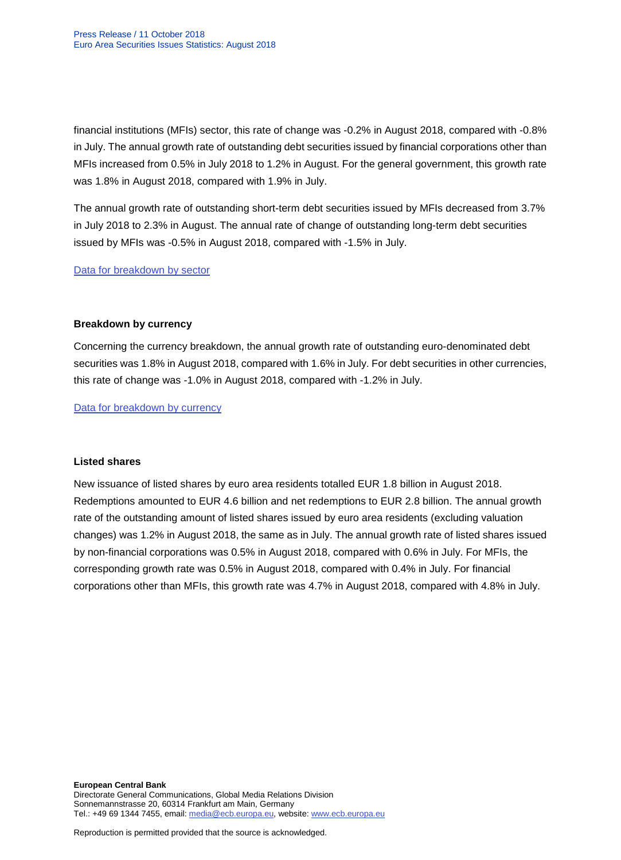financial institutions (MFIs) sector, this rate of change was -0.2% in August 2018, compared with -0.8% in July. The annual growth rate of outstanding debt securities issued by financial corporations other than MFIs increased from 0.5% in July 2018 to 1.2% in August. For the general government, this growth rate was 1.8% in August 2018, compared with 1.9% in July.

The annual growth rate of outstanding short-term debt securities issued by MFIs decreased from 3.7% in July 2018 to 2.3% in August. The annual rate of change of outstanding long-term debt securities issued by MFIs was -0.5% in August 2018, compared with -1.5% in July.

[Data for breakdown by sector](http://sdw.ecb.europa.eu/browseSelection.do?type=series&q=SEC.M.I8.1100.F33000.N.I.Z01.A.Z%2cSEC.M.I8.1220.F33000.N.I.Z01.A.Z%2cSEC.M.I8.1235.F33000.N.I.Z01.A.Z%2cSEC.M.I8.1300.F33000.N.I.Z01.A.Z%2cSEC.M.I8.1220.F33100.N.I.Z01.A.Z%2cSEC.M.I8.1220.F33200.N.I.Z01.A.Z&node=SEARCHRESULTS&ec=&oc=&rc=&cv=&pb=&dc=&df=)

# **Breakdown by currency**

Concerning the currency breakdown, the annual growth rate of outstanding euro-denominated debt securities was 1.8% in August 2018, compared with 1.6% in July. For debt securities in other currencies, this rate of change was -1.0% in August 2018, compared with -1.2% in July.

[Data for breakdown by currency](http://sdw.ecb.europa.eu/browseSelection.do?type=series&q=SEC.M.I8.1000.F33000.N.I.EUR.A.Z%2cSEC.M.I8.1000.F33000.N.I.Z06.A.Z&node=SEARCHRESULTS&ec=&oc=&rc=&cv=&pb=&dc=&df=)

# **Listed shares**

New issuance of listed shares by euro area residents totalled EUR 1.8 billion in August 2018. Redemptions amounted to EUR 4.6 billion and net redemptions to EUR 2.8 billion. The annual growth rate of the outstanding amount of listed shares issued by euro area residents (excluding valuation changes) was 1.2% in August 2018, the same as in July. The annual growth rate of listed shares issued by non-financial corporations was 0.5% in August 2018, compared with 0.6% in July. For MFIs, the corresponding growth rate was 0.5% in August 2018, compared with 0.4% in July. For financial corporations other than MFIs, this growth rate was 4.7% in August 2018, compared with 4.8% in July.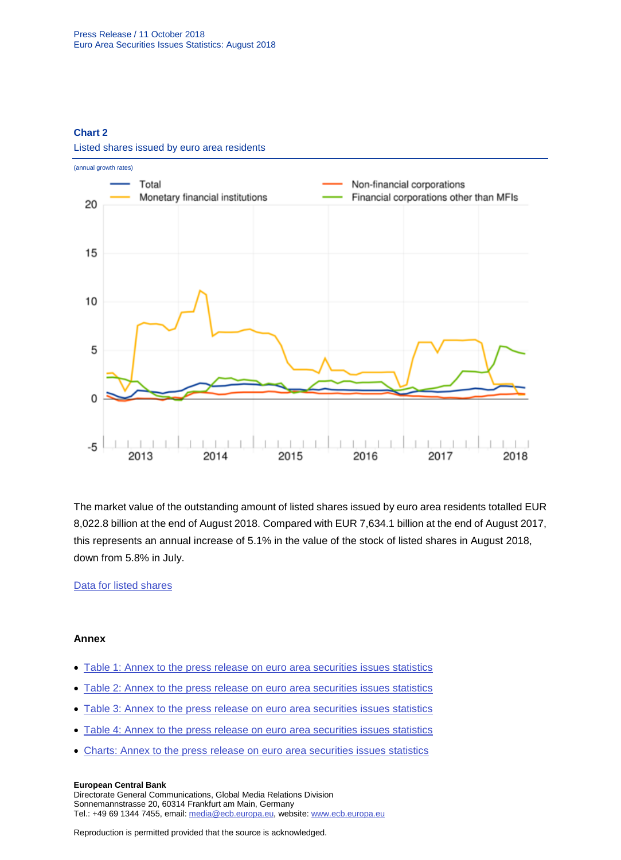# **Chart 2**



Listed shares issued by euro area residents

The market value of the outstanding amount of listed shares issued by euro area residents totalled EUR 8,022.8 billion at the end of August 2018. Compared with EUR 7,634.1 billion at the end of August 2017, this represents an annual increase of 5.1% in the value of the stock of listed shares in August 2018, down from 5.8% in July.

# [Data for listed shares](http://sdw.ecb.europa.eu/browseSelection.do?type=series&q=SEC.M.I8.1000.F51100.M.2.Z01.E.Z%2cSEC.M.I8.1000.F51100.M.3.Z01.E.Z%2cSEC.M.I8.1000.F51100.M.4.Z01.E.Z%2cSEC.M.I8.1000.F51100.M.I.Z01.A.Z%2cSEC.M.I8.1100.F51100.M.I.Z01.A.Z%2cSEC.M.I8.1220.F51100.M.I.Z01.A.Z%2cSEC.M.I8.1235.F51100.M.I.Z01.A.Z%2cSEC.M.I8.1000.F51100.M.1.Z01.E.Z&node=SEARCHRESULTS&ec=&oc=&rc=&cv=&pb=&dc=&df=)

# **Annex**

- [Table 1: Annex to the press release on euro area securities](http://sdw.ecb.europa.eu/web/generator/prl/pr_sec_t01_201808.pdf) issues statistics
- [Table 2: Annex to the press release on euro area securities issues statistics](http://sdw.ecb.europa.eu/web/generator/prl/pr_sec_t02_201808.pdf)
- [Table 3: Annex to the press release on euro area securities issues statistics](http://sdw.ecb.europa.eu/web/generator/prl/pr_sec_t03_201808.pdf)
- Table 4: Annex to [the press release on euro area securities issues statistics](http://sdw.ecb.europa.eu/web/generator/prl/pr_sec_t04_201808.pdf)
- [Charts: Annex to the press release on euro area securities issues statistics](http://sdw.ecb.europa.eu/web/generator/prl/pr_sec_c01a_201808.pdf)

#### **European Central Bank**

Directorate General Communications, Global Media Relations Division Sonnemannstrasse 20, 60314 Frankfurt am Main, Germany Tel.: +49 69 1344 7455, email[: media@ecb.europa.eu,](mailto:media@ecb.europa.eu) website[: www.ecb.europa.eu](https://darwin.escb.eu/livelink/livelink/238023865/www.ecb.europa.eu)

Reproduction is permitted provided that the source is acknowledged.